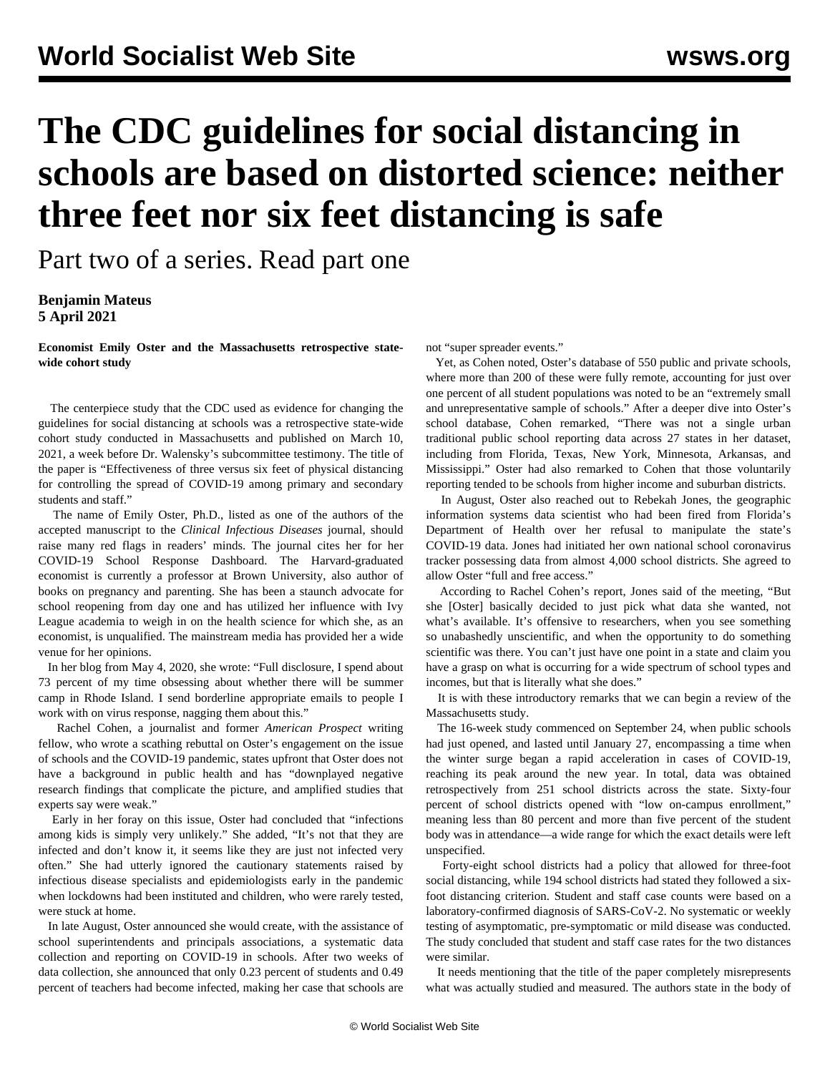## **The CDC guidelines for social distancing in schools are based on distorted science: neither three feet nor six feet distancing is safe**

Part two of a series. Read [part one](https://www.wsws.org/en/articles/2021/04/05/cdc1-a05.html)

**Benjamin Mateus 5 April 2021**

**Economist Emily Oster and the Massachusetts retrospective statewide cohort study**

 The [centerpiece study](https://academic.oup.com/cid/advance-article/doi/10.1093/cid/ciab230/6167856?searchresult=1) that the CDC used as evidence for changing the guidelines for social distancing at schools was a retrospective state-wide cohort study conducted in Massachusetts and published on March 10, 2021, a week before Dr. Walensky's subcommittee testimony. The title of the paper is "Effectiveness of three versus six feet of physical distancing for controlling the spread of COVID-19 among primary and secondary students and staff."

 The name of Emily Oster, Ph.D., listed as one of the authors of the accepted manuscript to the *Clinical Infectious Diseases* journal, should raise many red flags in readers' minds. The journal cites her for her COVID-19 School Response Dashboard. The Harvard-graduated economist is currently a professor at Brown University, also author of books on pregnancy and parenting. She has been a staunch advocate for school reopening from day one and has utilized her influence with Ivy League academia to weigh in on the health science for which she, as an economist, is unqualified. The mainstream media has provided her a wide venue for her opinions.

 In her blog from May 4, 2020, she wrote: "Full disclosure, I spend about 73 percent of my time obsessing about whether there will be summer camp in Rhode Island. I send borderline appropriate emails to people I work with on virus response, nagging them about this."

 Rachel Cohen, a journalist and former *American Prospect* writing fellow, who wrote a scathing rebuttal on Oster's engagement on the issue of schools and the COVID-19 pandemic, states upfront that Oster does not have a background in public health and has "downplayed negative research findings that complicate the picture, and amplified studies that experts say were weak."

 Early in her foray on this issue, Oster had concluded that "infections among kids is simply very unlikely." She added, "It's not that they are infected and don't know it, it seems like they are just not infected very often." She had utterly ignored the cautionary statements raised by infectious disease specialists and epidemiologists early in the pandemic when lockdowns had been instituted and children, who were rarely tested, were stuck at home.

 In late August, Oster announced she would create, with the assistance of school superintendents and principals associations, a systematic data collection and reporting on COVID-19 in schools. After two weeks of data collection, she announced that only 0.23 percent of students and 0.49 percent of teachers had become infected, making her case that schools are

not "super spreader events."

 Yet, as Cohen noted, Oster's database of 550 public and private schools, where more than 200 of these were fully remote, accounting for just over one percent of all student populations was noted to be an "extremely small and unrepresentative sample of schools." After a deeper dive into Oster's school database, Cohen remarked, "There was not a single urban traditional public school reporting data across 27 states in her dataset, including from Florida, Texas, New York, Minnesota, Arkansas, and Mississippi." Oster had also remarked to Cohen that those voluntarily reporting tended to be schools from higher income and suburban districts.

 In August, Oster also reached out to Rebekah Jones, the geographic information systems data scientist who had been fired from Florida's Department of Health over her refusal to manipulate the state's COVID-19 data. Jones had initiated her own national school coronavirus tracker possessing data from almost 4,000 school districts. She agreed to allow Oster "full and free access."

 According to Rachel Cohen's report, Jones said of the meeting, "But she [Oster] basically decided to just pick what data she wanted, not what's available. It's offensive to researchers, when you see something so unabashedly unscientific, and when the opportunity to do something scientific was there. You can't just have one point in a state and claim you have a grasp on what is occurring for a wide spectrum of school types and incomes, but that is literally what she does."

 It is with these introductory remarks that we can begin a review of the Massachusetts study.

 The 16-week study commenced on September 24, when public schools had just opened, and lasted until January 27, encompassing a time when the winter surge began a rapid acceleration in cases of COVID-19, reaching its peak around the new year. In total, data was obtained retrospectively from 251 school districts across the state. Sixty-four percent of school districts opened with "low on-campus enrollment," meaning less than 80 percent and more than five percent of the student body was in attendance—a wide range for which the exact details were left unspecified.

 Forty-eight school districts had a policy that allowed for three-foot social distancing, while 194 school districts had stated they followed a sixfoot distancing criterion. Student and staff case counts were based on a laboratory-confirmed diagnosis of SARS-CoV-2. No systematic or weekly testing of asymptomatic, pre-symptomatic or mild disease was conducted. The study concluded that student and staff case rates for the two distances were similar.

 It needs mentioning that the title of the paper completely misrepresents what was actually studied and measured. The authors state in the body of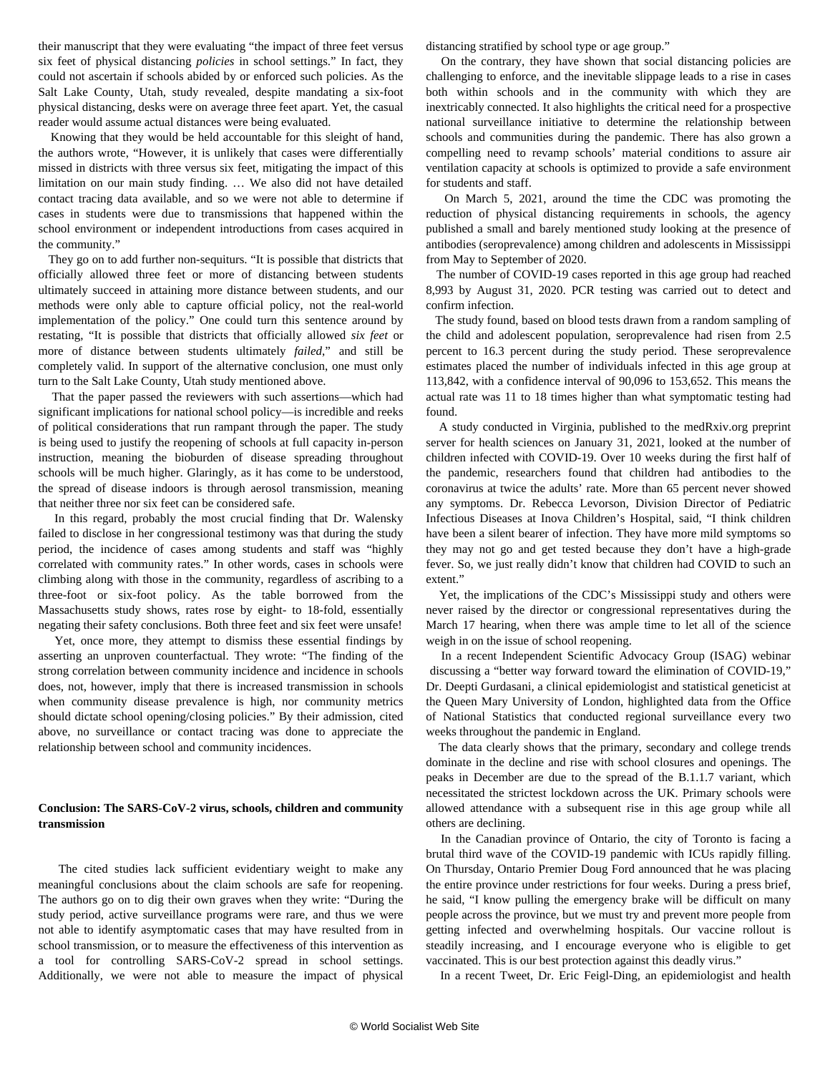their manuscript that they were evaluating "the impact of three feet versus six feet of physical distancing *policies* in school settings." In fact, they could not ascertain if schools abided by or enforced such policies. As the Salt Lake County, Utah, study revealed, despite mandating a six-foot physical distancing, desks were on average three feet apart. Yet, the casual reader would assume actual distances were being evaluated.

 Knowing that they would be held accountable for this sleight of hand, the authors wrote, "However, it is unlikely that cases were differentially missed in districts with three versus six feet, mitigating the impact of this limitation on our main study finding. … We also did not have detailed contact tracing data available, and so we were not able to determine if cases in students were due to transmissions that happened within the school environment or independent introductions from cases acquired in the community."

 They go on to add further non-sequiturs. "It is possible that districts that officially allowed three feet or more of distancing between students ultimately succeed in attaining more distance between students, and our methods were only able to capture official policy, not the real-world implementation of the policy." One could turn this sentence around by restating, "It is possible that districts that officially allowed *six feet* or more of distance between students ultimately *failed*," and still be completely valid. In support of the alternative conclusion, one must only turn to the Salt Lake County, Utah study mentioned above.

 That the paper passed the reviewers with such assertions—which had significant implications for national school policy—is incredible and reeks of political considerations that run rampant through the paper. The study is being used to justify the reopening of schools at full capacity in-person instruction, meaning the bioburden of disease spreading throughout schools will be much higher. Glaringly, as it has come to be understood, the spread of disease indoors is through aerosol transmission, meaning that neither three nor six feet can be considered safe.

 In this regard, probably the most crucial finding that Dr. Walensky failed to disclose in her congressional testimony was that during the study period, the incidence of cases among students and staff was "highly correlated with community rates." In other words, cases in schools were climbing along with those in the community, regardless of ascribing to a three-foot or six-foot policy. As the table borrowed from the Massachusetts study shows, rates rose by eight- to 18-fold, essentially negating their safety conclusions. Both three feet and six feet were unsafe!

 Yet, once more, they attempt to dismiss these essential findings by asserting an unproven counterfactual. They wrote: "The finding of the strong correlation between community incidence and incidence in schools does, not, however, imply that there is increased transmission in schools when community disease prevalence is high, nor community metrics should dictate school opening/closing policies." By their admission, cited above, no surveillance or contact tracing was done to appreciate the relationship between school and community incidences.

## **Conclusion: The SARS-CoV-2 virus, schools, children and community transmission**

 The cited studies lack sufficient evidentiary weight to make any meaningful conclusions about the claim schools are safe for reopening. The authors go on to dig their own graves when they write: "During the study period, active surveillance programs were rare, and thus we were not able to identify asymptomatic cases that may have resulted from in school transmission, or to measure the effectiveness of this intervention as a tool for controlling SARS-CoV-2 spread in school settings. Additionally, we were not able to measure the impact of physical distancing stratified by school type or age group."

 On the contrary, they have shown that social distancing policies are challenging to enforce, and the inevitable slippage leads to a rise in cases both within schools and in the community with which they are inextricably connected. It also highlights the critical need for a prospective national surveillance initiative to determine the relationship between schools and communities during the pandemic. There has also grown a compelling need to revamp schools' material conditions to assure air ventilation capacity at schools is optimized to provide a safe environment for students and staff.

 On March 5, 2021, around the time the CDC was promoting the reduction of physical distancing requirements in schools, the agency published a small and barely mentioned [study](https://www.cdc.gov/mmwr/volumes/70/wr/mm7009a4.htm?s_cid=mm7009a4_w) looking at the presence of antibodies (seroprevalence) among children and adolescents in Mississippi from May to September of 2020.

 The number of COVID-19 cases reported in this age group had reached 8,993 by August 31, 2020. PCR testing was carried out to detect and confirm infection.

 The study found, based on blood tests drawn from a random sampling of the child and adolescent population, seroprevalence had risen from 2.5 percent to 16.3 percent during the study period. These seroprevalence estimates placed the number of individuals infected in this age group at 113,842, with a confidence interval of 90,096 to 153,652. This means the actual rate was 11 to 18 times higher than what symptomatic testing had found.

 A [study](https://www.medrxiv.org/content/10.1101/2021.01.28.21250466v1) conducted in Virginia, published to the medRxiv.org preprint server for health sciences on January 31, 2021, looked at the number of children infected with COVID-19. Over 10 weeks during the first half of the pandemic, researchers found that children had antibodies to the coronavirus at twice the adults' rate. More than 65 percent never showed any symptoms. Dr. Rebecca Levorson, Division Director of Pediatric Infectious Diseases at Inova Children's Hospital, said, "I think children have been a silent bearer of infection. They have more mild symptoms so they may not go and get tested because they don't have a high-grade fever. So, we just really didn't know that children had COVID to such an extent."

 Yet, the implications of the CDC's Mississippi study and others were never raised by the director or congressional representatives during the March 17 hearing, when there was ample time to let all of the science weigh in on the issue of school reopening.

 In a recent Independent Scientific Advocacy Group (ISAG) [webinar](https://www.isagcovid19.org/) discussing a "better way forward toward the elimination of COVID-19," Dr. Deepti Gurdasani, a clinical epidemiologist and statistical geneticist at the Queen Mary University of London, highlighted data from the Office of National Statistics that conducted regional surveillance every two weeks throughout the pandemic in England.

 The data clearly shows that the primary, secondary and college trends dominate in the decline and rise with school closures and openings. The peaks in December are due to the spread of the B.1.1.7 variant, which necessitated the strictest lockdown across the UK. Primary schools were allowed attendance with a subsequent rise in this age group while all others are declining.

 In the Canadian province of Ontario, the city of Toronto is facing a brutal third wave of the COVID-19 pandemic with ICUs rapidly filling. On Thursday, Ontario Premier Doug Ford announced that he was placing the entire province under restrictions for four weeks. During a press brief, he said, "I know pulling the emergency brake will be difficult on many people across the province, but we must try and prevent more people from getting infected and overwhelming hospitals. Our vaccine rollout is steadily increasing, and I encourage everyone who is eligible to get vaccinated. This is our best protection against this deadly virus."

In a recent Tweet, Dr. Eric Feigl-Ding, an epidemiologist and health